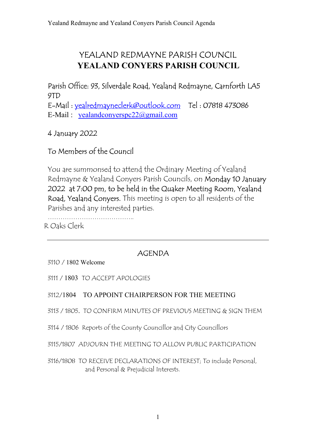# YEALAND REDMAYNE PARISH COUNCIL YEALAND CONYERS PARISH COUNCIL

Parish Office: 93, Silverdale Road, Yealand Redmayne, Carnforth LA5 9TD

E-Mail : yealredmayneclerk@outlook.com Tel : 07818 473086 E-Mail : yealandconyerspc22@gmail.com

4 January 2022

## To Members of the Council

You are summonsed to attend the Ordinary Meeting of Yealand Redmayne & Yealand Conyers Parish Councils, on Monday 10 January 2022 at 7:00 pm, to be held in the Quaker Meeting Room, Yealand Road, Yealand Conyers. This meeting is open to all residents of the Parishes and any interested parties.

………………………………….. R Oaks Clerk

## AGENDA

3110 / 1802 Welcome

3111 / 1803 TO ACCEPT APOLOGIES

### 3112/1804 TO APPOINT CHAIRPERSON FOR THE MEETING

3113 / 1805. TO CONFIRM MINUTES OF PREVIOUS MEETING & SIGN THEM

3114 / 1806 Reports of the County Councillor and City Councillors

3115/1807 ADJOURN THE MEETING TO ALLOW PUBLIC PARTICIPATION

3116/1808 TO RECEIVE DECLARATIONS OF INTEREST; To include Personal, and Personal & Prejudicial Interests.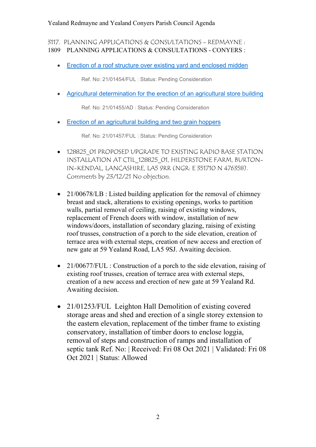#### Yealand Redmayne and Yealand Conyers Parish Council Agenda

3117. PLANNING APPLICATIONS & CONSULTATIONS - REDMAYNE : 1809 PLANNING APPLICATIONS & CONSULTATIONS - CONYERS :

• Erection of a roof structure over existing yard and enclosed midden

Ref. No: 21/01454/FUL | Status: Pending Consideration

Agricultural determination for the erection of an agricultural store building

Ref. No: 21/01455/AD | Status: Pending Consideration

Erection of an agricultural building and two grain hoppers

Ref. No: 21/01457/FUL | Status: Pending Consideration

- $\bullet$  128825 O1 PROPOSED UPGRADE TO EXISTING RADIO BASE STATION INSTALLATION AT CTIL\_128825\_01, HILDERSTONE FARM, BURTON-IN-KENDAL, LANCASHIRE, LA5 9RR (NGR: E 351710 N 476358). Comments by 23/12/21 No objection.
- 21/00678/LB : Listed building application for the removal of chimney breast and stack, alterations to existing openings, works to partition walls, partial removal of ceiling, raising of existing windows, replacement of French doors with window, installation of new windows/doors, installation of secondary glazing, raising of existing roof trusses, construction of a porch to the side elevation, creation of terrace area with external steps, creation of new access and erection of new gate at 59 Yealand Road, LA5 9SJ. Awaiting decision.
- 21/00677/FUL : Construction of a porch to the side elevation, raising of existing roof trusses, creation of terrace area with external steps, creation of a new access and erection of new gate at 59 Yealand Rd. Awaiting decision.
- 21/01253/FUL Leighton Hall Demolition of existing covered storage areas and shed and erection of a single storey extension to the eastern elevation, replacement of the timber frame to existing conservatory, installation of timber doors to enclose loggia, removal of steps and construction of ramps and installation of septic tank Ref. No: | Received: Fri 08 Oct 2021 | Validated: Fri 08 Oct 2021 | Status: Allowed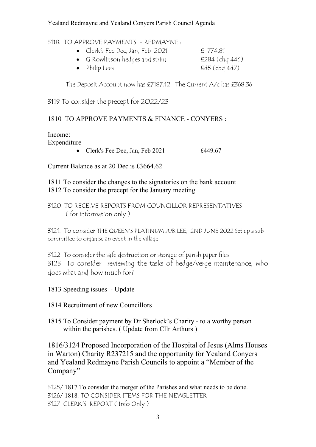#### Yealand Redmayne and Yealand Conyers Parish Council Agenda

#### 3118. TO APPROVE PAYMENTS - REDMAYNE :

- Clerk's Fee Dec, Jan, Feb 2021 £ 774.81 G Rowlinson hedges and strim E284 (chq 446)
	-

• Philip Lees  $£45$  (chq  $447$ )

The Deposit Account now has £7187.12 The Current A/c has £368.36

3119 To consider the precept for 2O22/23

## 1810 TO APPROVE PAYMENTS & FINANCE - CONYERS :

## Income:

Expenditure

• Clerk's Fee Dec, Jan, Feb 2021 £449.67

Current Balance as at 20 Dec is £3664.62

1811 To consider the changes to the signatories on the bank account 1812 To consider the precept for the January meeting

### 3120. TO RECEIVE REPORTS FROM COUNCILLOR REPRESENTATIVES ( for information only )

3121. To consider THE QUEEN'S PLATINUM JUBILEE, 2ND JUNE 2022 Set up a sub committee to organise an event in the village.

3122 To consider the safe destruction or storage of parish paper files 3123 To consider reviewing the tasks of hedge/verge maintenance, who does what and how much for?

1813 Speeding issues - Update

1814 Recruitment of new Councillors

1815 To Consider payment by Dr Sherlock's Charity - to a worthy person within the parishes. (Update from Cllr Arthurs)

1816/3124 Proposed Incorporation of the Hospital of Jesus (Alms Houses in Warton) Charity R237215 and the opportunity for Yealand Conyers and Yealand Redmayne Parish Councils to appoint a "Member of the Company"

3125/ 1817 To consider the merger of the Parishes and what needs to be done. 3126/ 1818. TO CONSIDER ITEMS FOR THE NEWSLETTER 3127 CLERK'S REPORT ( Info Only )